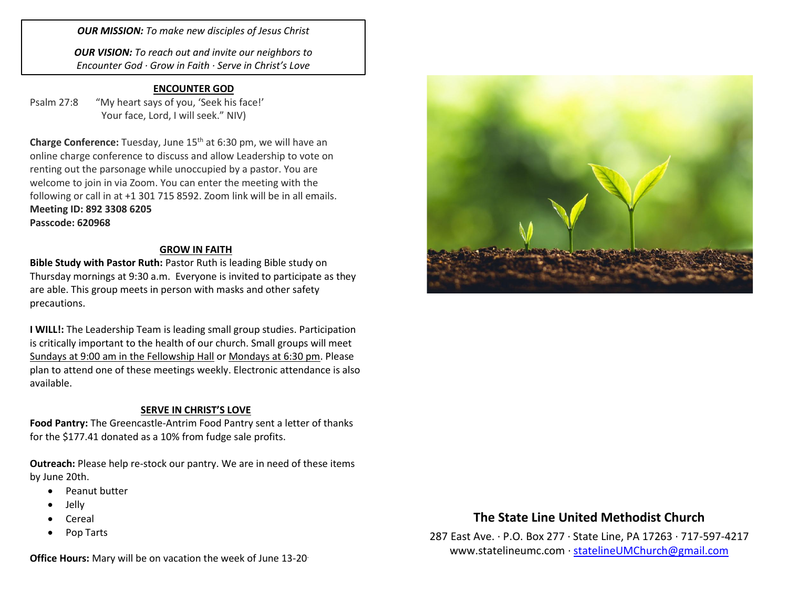*OUR MISSION: To make new disciples of Jesus Christ*

*OUR VISION: To reach out and invite our neighbors to Encounter God · Grow in Faith · Serve in Christ's Love*

### **ENCOUNTER GOD**

Psalm 27:8 "My heart says of you, 'Seek his face!'

Your face, Lord, I will seek." NIV)

**Charge Conference:** Tuesday, June 15th at 6:30 pm, we will have an online charge conference to discuss and allow Leadership to vote on renting out the parsonage while unoccupied by a pastor. You are welcome to join in via Zoom. You can enter the meeting with the following or call in at +1 301 715 8592. Zoom link will be in all emails. **Meeting ID: 892 3308 6205 Passcode: 620968**

#### **GROW IN FAITH**

**Bible Study with Pastor Ruth:** Pastor Ruth is leading Bible study on Thursday mornings at 9:30 a.m. Everyone is invited to participate as they are able. This group meets in person with masks and other safety precautions.

**I WILL!:** The Leadership Team is leading small group studies. Participation is critically important to the health of our church. Small groups will meet Sundays at 9:00 am in the Fellowship Hall or Mondays at 6:30 pm. Please plan to attend one of these meetings weekly. Electronic attendance is also available.

### **SERVE IN CHRIST'S LOVE**

**Food Pantry:** The Greencastle-Antrim Food Pantry sent a letter of thanks for the \$177.41 donated as a 10% from fudge sale profits.

**Outreach:** Please help re-stock our pantry. We are in need of these items by June 20th.

- Peanut butter
- Jelly
- Cereal
- Pop Tarts

**Office Hours:** Mary will be on vacation the week of June 13-20.



## **The State Line United Methodist Church**

287 East Ave. · P.O. Box 277 · State Line, PA 17263 · 717-597-4217 [www.statelineumc.com](http://www.statelineumc.com/) · [statelineUMChurch@gmail.com](mailto:statelineUMChurch@gmail.com)